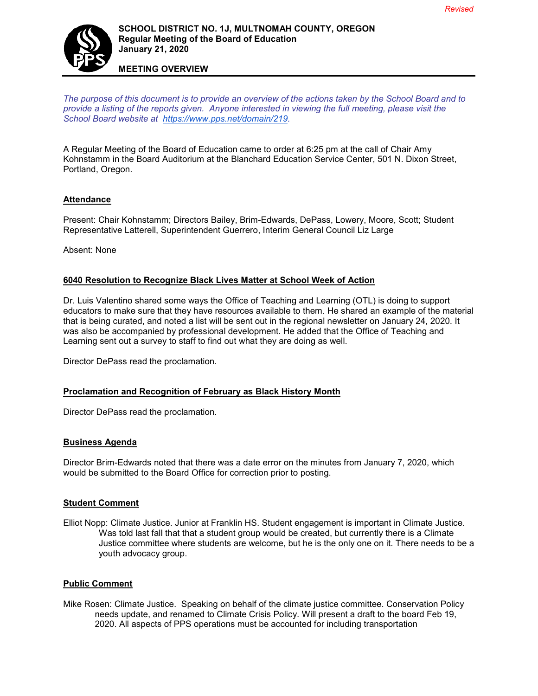

# **SCHOOL DISTRICT NO. 1J, MULTNOMAH COUNTY, OREGON Regular Meeting of the Board of Education January 21, 2020**

**MEETING OVERVIEW**

*The purpose of this document is to provide an overview of the actions taken by the School Board and to provide a listing of the reports given. Anyone interested in viewing the full meeting, please visit the School Board website at [https://www.pps.net/domain/219.](https://www.pps.net/domain/219)*

A Regular Meeting of the Board of Education came to order at 6:25 pm at the call of Chair Amy Kohnstamm in the Board Auditorium at the Blanchard Education Service Center, 501 N. Dixon Street, Portland, Oregon.

## **Attendance**

Present: Chair Kohnstamm; Directors Bailey, Brim-Edwards, DePass, Lowery, Moore, Scott; Student Representative Latterell, Superintendent Guerrero, Interim General Council Liz Large

Absent: None

### **6040 Resolution to Recognize Black Lives Matter at School Week of Action**

Dr. Luis Valentino shared some ways the Office of Teaching and Learning (OTL) is doing to support educators to make sure that they have resources available to them. He shared an example of the material that is being curated, and noted a list will be sent out in the regional newsletter on January 24, 2020. It was also be accompanied by professional development. He added that the Office of Teaching and Learning sent out a survey to staff to find out what they are doing as well.

Director DePass read the proclamation.

#### **Proclamation and Recognition of February as Black History Month**

Director DePass read the proclamation.

#### **Business Agenda**

Director Brim-Edwards noted that there was a date error on the minutes from January 7, 2020, which would be submitted to the Board Office for correction prior to posting.

#### **Student Comment**

Elliot Nopp: Climate Justice. Junior at Franklin HS. Student engagement is important in Climate Justice. Was told last fall that that a student group would be created, but currently there is a Climate Justice committee where students are welcome, but he is the only one on it. There needs to be a youth advocacy group.

#### **Public Comment**

Mike Rosen: Climate Justice. Speaking on behalf of the climate justice committee. Conservation Policy needs update, and renamed to Climate Crisis Policy. Will present a draft to the board Feb 19, 2020. All aspects of PPS operations must be accounted for including transportation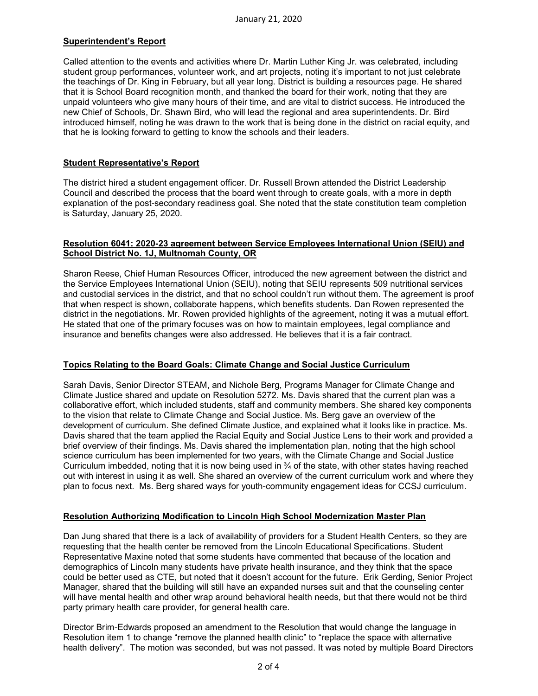# **Superintendent's Report**

Called attention to the events and activities where Dr. Martin Luther King Jr. was celebrated, including student group performances, volunteer work, and art projects, noting it's important to not just celebrate the teachings of Dr. King in February, but all year long. District is building a resources page. He shared that it is School Board recognition month, and thanked the board for their work, noting that they are unpaid volunteers who give many hours of their time, and are vital to district success. He introduced the new Chief of Schools, Dr. Shawn Bird, who will lead the regional and area superintendents. Dr. Bird introduced himself, noting he was drawn to the work that is being done in the district on racial equity, and that he is looking forward to getting to know the schools and their leaders.

## **Student Representative's Report**

The district hired a student engagement officer. Dr. Russell Brown attended the District Leadership Council and described the process that the board went through to create goals, with a more in depth explanation of the post-secondary readiness goal. She noted that the state constitution team completion is Saturday, January 25, 2020.

#### **Resolution 6041: 2020-23 agreement between Service Employees International Union (SEIU) and School District No. 1J, Multnomah County, OR**

Sharon Reese, Chief Human Resources Officer, introduced the new agreement between the district and the Service Employees International Union (SEIU), noting that SEIU represents 509 nutritional services and custodial services in the district, and that no school couldn't run without them. The agreement is proof that when respect is shown, collaborate happens, which benefits students. Dan Rowen represented the district in the negotiations. Mr. Rowen provided highlights of the agreement, noting it was a mutual effort. He stated that one of the primary focuses was on how to maintain employees, legal compliance and insurance and benefits changes were also addressed. He believes that it is a fair contract.

## **Topics Relating to the Board Goals: Climate Change and Social Justice Curriculum**

Sarah Davis, Senior Director STEAM, and Nichole Berg, Programs Manager for Climate Change and Climate Justice shared and update on Resolution 5272. Ms. Davis shared that the current plan was a collaborative effort, which included students, staff and community members. She shared key components to the vision that relate to Climate Change and Social Justice. Ms. Berg gave an overview of the development of curriculum. She defined Climate Justice, and explained what it looks like in practice. Ms. Davis shared that the team applied the Racial Equity and Social Justice Lens to their work and provided a brief overview of their findings. Ms. Davis shared the implementation plan, noting that the high school science curriculum has been implemented for two years, with the Climate Change and Social Justice Curriculum imbedded, noting that it is now being used in  $\frac{3}{4}$  of the state, with other states having reached out with interest in using it as well. She shared an overview of the current curriculum work and where they plan to focus next. Ms. Berg shared ways for youth-community engagement ideas for CCSJ curriculum.

#### **Resolution Authorizing Modification to Lincoln High School Modernization Master Plan**

Dan Jung shared that there is a lack of availability of providers for a Student Health Centers, so they are requesting that the health center be removed from the Lincoln Educational Specifications. Student Representative Maxine noted that some students have commented that because of the location and demographics of Lincoln many students have private health insurance, and they think that the space could be better used as CTE, but noted that it doesn't account for the future. Erik Gerding, Senior Project Manager, shared that the building will still have an expanded nurses suit and that the counseling center will have mental health and other wrap around behavioral health needs, but that there would not be third party primary health care provider, for general health care.

Director Brim-Edwards proposed an amendment to the Resolution that would change the language in Resolution item 1 to change "remove the planned health clinic" to "replace the space with alternative health delivery". The motion was seconded, but was not passed. It was noted by multiple Board Directors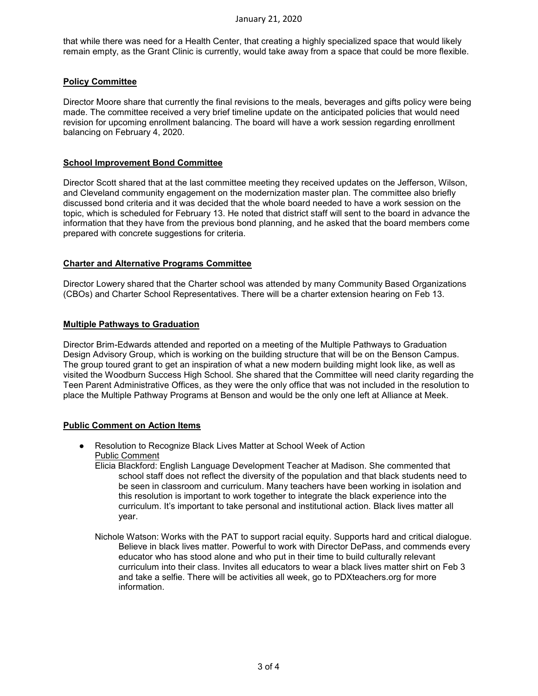that while there was need for a Health Center, that creating a highly specialized space that would likely remain empty, as the Grant Clinic is currently, would take away from a space that could be more flexible.

### **Policy Committee**

Director Moore share that currently the final revisions to the meals, beverages and gifts policy were being made. The committee received a very brief timeline update on the anticipated policies that would need revision for upcoming enrollment balancing. The board will have a work session regarding enrollment balancing on February 4, 2020.

#### **School Improvement Bond Committee**

Director Scott shared that at the last committee meeting they received updates on the Jefferson, Wilson, and Cleveland community engagement on the modernization master plan. The committee also briefly discussed bond criteria and it was decided that the whole board needed to have a work session on the topic, which is scheduled for February 13. He noted that district staff will sent to the board in advance the information that they have from the previous bond planning, and he asked that the board members come prepared with concrete suggestions for criteria.

### **Charter and Alternative Programs Committee**

Director Lowery shared that the Charter school was attended by many Community Based Organizations (CBOs) and Charter School Representatives. There will be a charter extension hearing on Feb 13.

#### **Multiple Pathways to Graduation**

Director Brim-Edwards attended and reported on a meeting of the Multiple Pathways to Graduation Design Advisory Group, which is working on the building structure that will be on the Benson Campus. The group toured grant to get an inspiration of what a new modern building might look like, as well as visited the Woodburn Success High School. She shared that the Committee will need clarity regarding the Teen Parent Administrative Offices, as they were the only office that was not included in the resolution to place the Multiple Pathway Programs at Benson and would be the only one left at Alliance at Meek.

## **Public Comment on Action Items**

- Resolution to Recognize Black Lives Matter at School Week of Action Public Comment
	- Elicia Blackford: English Language Development Teacher at Madison. She commented that school staff does not reflect the diversity of the population and that black students need to be seen in classroom and curriculum. Many teachers have been working in isolation and this resolution is important to work together to integrate the black experience into the curriculum. It's important to take personal and institutional action. Black lives matter all year.
	- Nichole Watson: Works with the PAT to support racial equity. Supports hard and critical dialogue. Believe in black lives matter. Powerful to work with Director DePass, and commends every educator who has stood alone and who put in their time to build culturally relevant curriculum into their class. Invites all educators to wear a black lives matter shirt on Feb 3 and take a selfie. There will be activities all week, go to PDXteachers.org for more information.